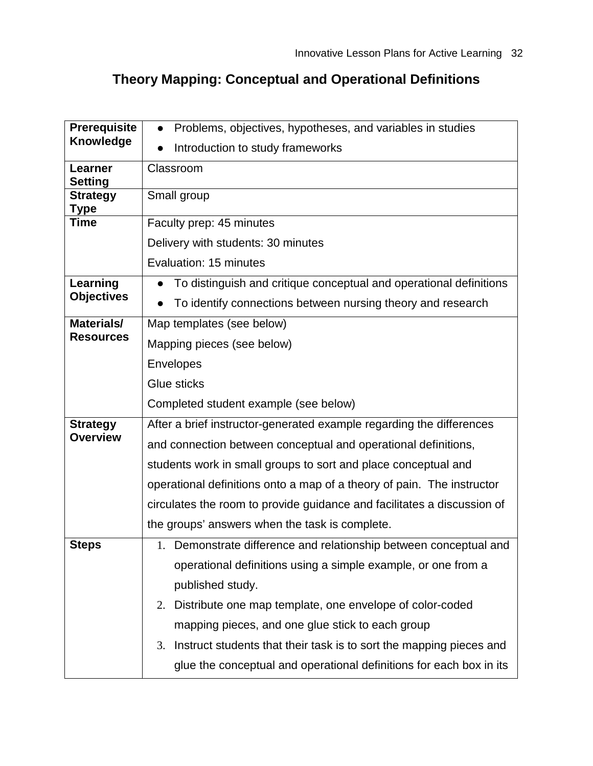# **Theory Mapping: Conceptual and Operational Definitions**

| <b>Prerequisite</b>            | Problems, objectives, hypotheses, and variables in studies                |  |  |
|--------------------------------|---------------------------------------------------------------------------|--|--|
| Knowledge                      | Introduction to study frameworks                                          |  |  |
| Learner<br><b>Setting</b>      | Classroom                                                                 |  |  |
| <b>Strategy</b><br>Type        | Small group                                                               |  |  |
| Time                           | Faculty prep: 45 minutes                                                  |  |  |
|                                | Delivery with students: 30 minutes                                        |  |  |
|                                | Evaluation: 15 minutes                                                    |  |  |
| Learning                       | To distinguish and critique conceptual and operational definitions        |  |  |
| <b>Objectives</b>              | To identify connections between nursing theory and research               |  |  |
| Materials/<br><b>Resources</b> | Map templates (see below)                                                 |  |  |
|                                | Mapping pieces (see below)                                                |  |  |
|                                | Envelopes                                                                 |  |  |
|                                | Glue sticks                                                               |  |  |
|                                | Completed student example (see below)                                     |  |  |
| <b>Strategy</b>                | After a brief instructor-generated example regarding the differences      |  |  |
| <b>Overview</b>                | and connection between conceptual and operational definitions,            |  |  |
|                                | students work in small groups to sort and place conceptual and            |  |  |
|                                | operational definitions onto a map of a theory of pain. The instructor    |  |  |
|                                | circulates the room to provide guidance and facilitates a discussion of   |  |  |
|                                | the groups' answers when the task is complete.                            |  |  |
| <b>Steps</b>                   | 1. Demonstrate difference and relationship between conceptual and         |  |  |
|                                | operational definitions using a simple example, or one from a             |  |  |
|                                | published study.                                                          |  |  |
|                                | Distribute one map template, one envelope of color-coded<br>2.            |  |  |
|                                | mapping pieces, and one glue stick to each group                          |  |  |
|                                | Instruct students that their task is to sort the mapping pieces and<br>3. |  |  |
|                                | glue the conceptual and operational definitions for each box in its       |  |  |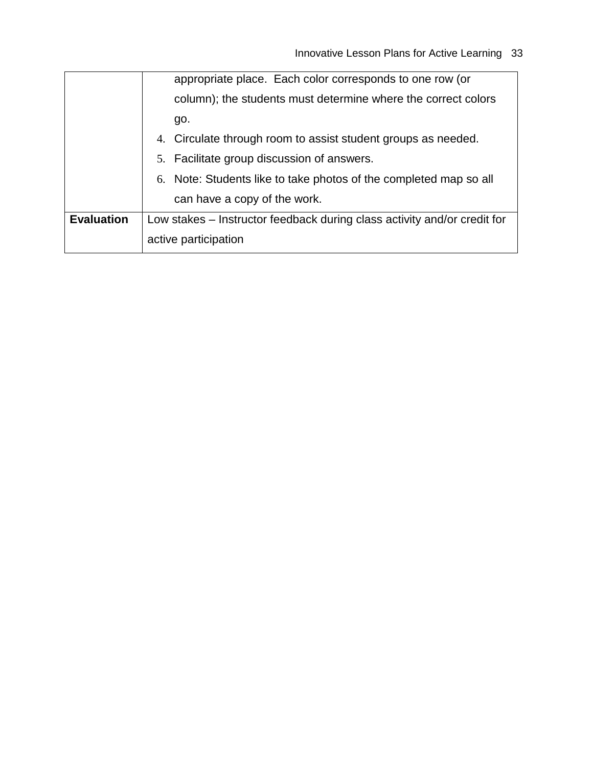|                   | column); the students must determine where the correct colors            |  |  |
|-------------------|--------------------------------------------------------------------------|--|--|
|                   | go.                                                                      |  |  |
|                   | 4. Circulate through room to assist student groups as needed.            |  |  |
|                   | 5. Facilitate group discussion of answers.                               |  |  |
|                   | 6. Note: Students like to take photos of the completed map so all        |  |  |
|                   | can have a copy of the work.                                             |  |  |
| <b>Evaluation</b> | Low stakes - Instructor feedback during class activity and/or credit for |  |  |
|                   | active participation                                                     |  |  |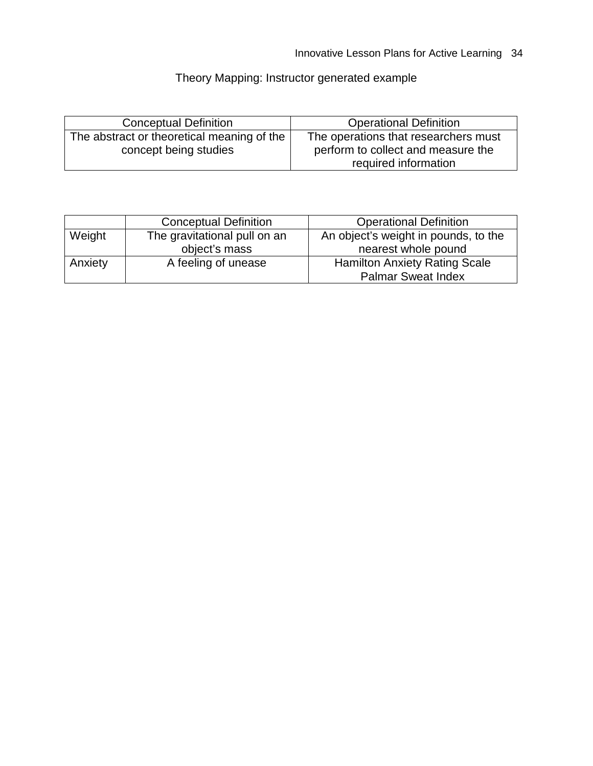# Theory Mapping: Instructor generated example

| <b>Conceptual Definition</b>               | <b>Operational Definition</b>        |
|--------------------------------------------|--------------------------------------|
| The abstract or theoretical meaning of the | The operations that researchers must |
| concept being studies                      | perform to collect and measure the   |
|                                            | required information                 |

|         | <b>Conceptual Definition</b> | <b>Operational Definition</b>        |
|---------|------------------------------|--------------------------------------|
| Weight  | The gravitational pull on an | An object's weight in pounds, to the |
|         | object's mass                | nearest whole pound                  |
| Anxiety | A feeling of unease          | <b>Hamilton Anxiety Rating Scale</b> |
|         |                              | <b>Palmar Sweat Index</b>            |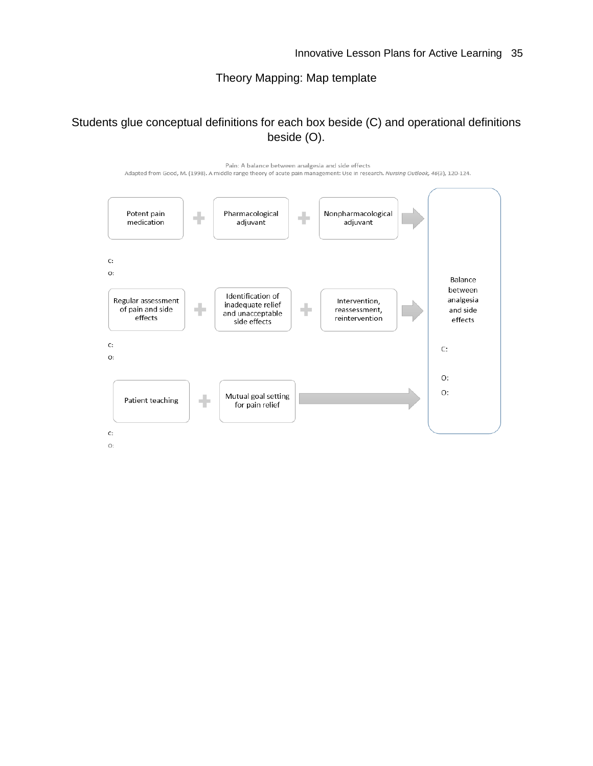## Theory Mapping: Map template

### Students glue conceptual definitions for each box beside (C) and operational definitions beside (O).

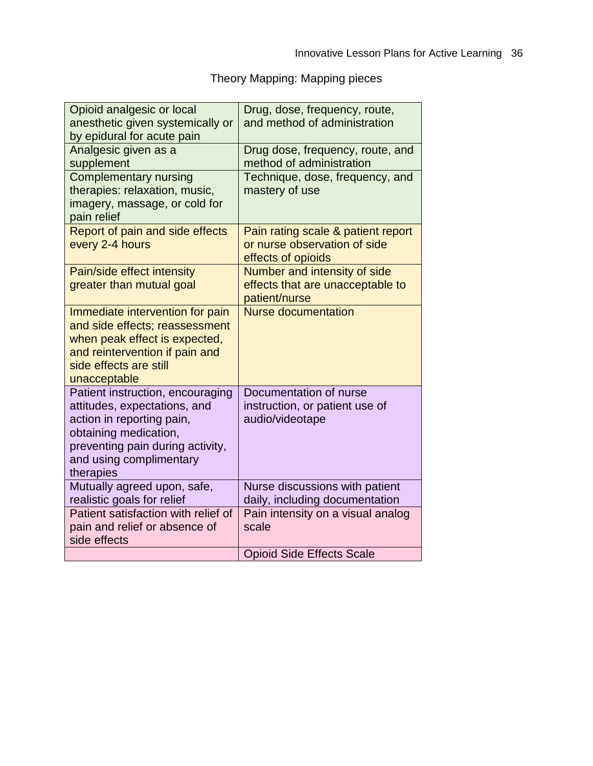Theory Mapping: Mapping pieces

| Opioid analgesic or local<br>anesthetic given systemically or<br>by epidural for acute pain                                                                                                        | Drug, dose, frequency, route,<br>and method of administration                            |
|----------------------------------------------------------------------------------------------------------------------------------------------------------------------------------------------------|------------------------------------------------------------------------------------------|
| Analgesic given as a<br>supplement                                                                                                                                                                 | Drug dose, frequency, route, and<br>method of administration                             |
| <b>Complementary nursing</b><br>therapies: relaxation, music,<br>imagery, massage, or cold for<br>pain relief                                                                                      | Technique, dose, frequency, and<br>mastery of use                                        |
| Report of pain and side effects<br>every 2-4 hours                                                                                                                                                 | Pain rating scale & patient report<br>or nurse observation of side<br>effects of opioids |
| Pain/side effect intensity<br>greater than mutual goal                                                                                                                                             | Number and intensity of side<br>effects that are unacceptable to<br>patient/nurse        |
| Immediate intervention for pain<br>and side effects; reassessment<br>when peak effect is expected,<br>and reintervention if pain and<br>side effects are still<br>unacceptable                     | <b>Nurse documentation</b>                                                               |
| Patient instruction, encouraging<br>attitudes, expectations, and<br>action in reporting pain,<br>obtaining medication,<br>preventing pain during activity,<br>and using complimentary<br>therapies | Documentation of nurse<br>instruction, or patient use of<br>audio/videotape              |
| Mutually agreed upon, safe,<br>realistic goals for relief                                                                                                                                          | Nurse discussions with patient<br>daily, including documentation                         |
| Patient satisfaction with relief of<br>pain and relief or absence of<br>side effects                                                                                                               | Pain intensity on a visual analog<br>scale                                               |
|                                                                                                                                                                                                    | <b>Opioid Side Effects Scale</b>                                                         |